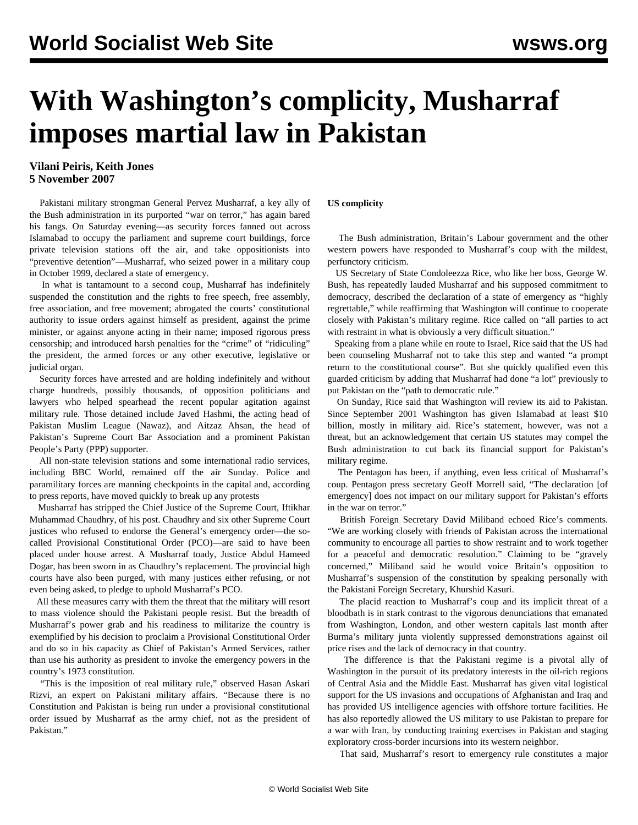## **With Washington's complicity, Musharraf imposes martial law in Pakistan**

## **Vilani Peiris, Keith Jones 5 November 2007**

 Pakistani military strongman General Pervez Musharraf, a key ally of the Bush administration in its purported "war on terror," has again bared his fangs. On Saturday evening—as security forces fanned out across Islamabad to occupy the parliament and supreme court buildings, force private television stations off the air, and take oppositionists into "preventive detention"—Musharraf, who seized power in a military coup in October 1999, declared a state of emergency.

 In what is tantamount to a second coup, Musharraf has indefinitely suspended the constitution and the rights to free speech, free assembly, free association, and free movement; abrogated the courts' constitutional authority to issue orders against himself as president, against the prime minister, or against anyone acting in their name; imposed rigorous press censorship; and introduced harsh penalties for the "crime" of "ridiculing" the president, the armed forces or any other executive, legislative or judicial organ.

 Security forces have arrested and are holding indefinitely and without charge hundreds, possibly thousands, of opposition politicians and lawyers who helped spearhead the recent popular agitation against military rule. Those detained include Javed Hashmi, the acting head of Pakistan Muslim League (Nawaz), and Aitzaz Ahsan, the head of Pakistan's Supreme Court Bar Association and a prominent Pakistan People's Party (PPP) supporter.

 All non-state television stations and some international radio services, including BBC World, remained off the air Sunday. Police and paramilitary forces are manning checkpoints in the capital and, according to press reports, have moved quickly to break up any protests

 Musharraf has stripped the Chief Justice of the Supreme Court, Iftikhar Muhammad Chaudhry, of his post. Chaudhry and six other Supreme Court justices who refused to endorse the General's emergency order—the socalled Provisional Constitutional Order (PCO)—are said to have been placed under house arrest. A Musharraf toady, Justice Abdul Hameed Dogar, has been sworn in as Chaudhry's replacement. The provincial high courts have also been purged, with many justices either refusing, or not even being asked, to pledge to uphold Musharraf's PCO.

 All these measures carry with them the threat that the military will resort to mass violence should the Pakistani people resist. But the breadth of Musharraf's power grab and his readiness to militarize the country is exemplified by his decision to proclaim a Provisional Constitutional Order and do so in his capacity as Chief of Pakistan's Armed Services, rather than use his authority as president to invoke the emergency powers in the country's 1973 constitution.

 "This is the imposition of real military rule," observed Hasan Askari Rizvi, an expert on Pakistani military affairs. "Because there is no Constitution and Pakistan is being run under a provisional constitutional order issued by Musharraf as the army chief, not as the president of Pakistan."

## **US complicity**

 The Bush administration, Britain's Labour government and the other western powers have responded to Musharraf's coup with the mildest, perfunctory criticism.

 US Secretary of State Condoleezza Rice, who like her boss, George W. Bush, has repeatedly lauded Musharraf and his supposed commitment to democracy, described the declaration of a state of emergency as "highly regrettable," while reaffirming that Washington will continue to cooperate closely with Pakistan's military regime. Rice called on "all parties to act with restraint in what is obviously a very difficult situation."

 Speaking from a plane while en route to Israel, Rice said that the US had been counseling Musharraf not to take this step and wanted "a prompt return to the constitutional course". But she quickly qualified even this guarded criticism by adding that Musharraf had done "a lot" previously to put Pakistan on the "path to democratic rule."

 On Sunday, Rice said that Washington will review its aid to Pakistan. Since September 2001 Washington has given Islamabad at least \$10 billion, mostly in military aid. Rice's statement, however, was not a threat, but an acknowledgement that certain US statutes may compel the Bush administration to cut back its financial support for Pakistan's military regime.

 The Pentagon has been, if anything, even less critical of Musharraf's coup. Pentagon press secretary Geoff Morrell said, "The declaration [of emergency] does not impact on our military support for Pakistan's efforts in the war on terror."

 British Foreign Secretary David Miliband echoed Rice's comments. "We are working closely with friends of Pakistan across the international community to encourage all parties to show restraint and to work together for a peaceful and democratic resolution." Claiming to be "gravely concerned," Miliband said he would voice Britain's opposition to Musharraf's suspension of the constitution by speaking personally with the Pakistani Foreign Secretary, Khurshid Kasuri.

 The placid reaction to Musharraf's coup and its implicit threat of a bloodbath is in stark contrast to the vigorous denunciations that emanated from Washington, London, and other western capitals last month after Burma's military junta violently suppressed demonstrations against oil price rises and the lack of democracy in that country.

 The difference is that the Pakistani regime is a pivotal ally of Washington in the pursuit of its predatory interests in the oil-rich regions of Central Asia and the Middle East. Musharraf has given vital logistical support for the US invasions and occupations of Afghanistan and Iraq and has provided US intelligence agencies with offshore torture facilities. He has also reportedly allowed the US military to use Pakistan to prepare for a war with Iran, by conducting training exercises in Pakistan and staging exploratory cross-border incursions into its western neighbor.

That said, Musharraf's resort to emergency rule constitutes a major